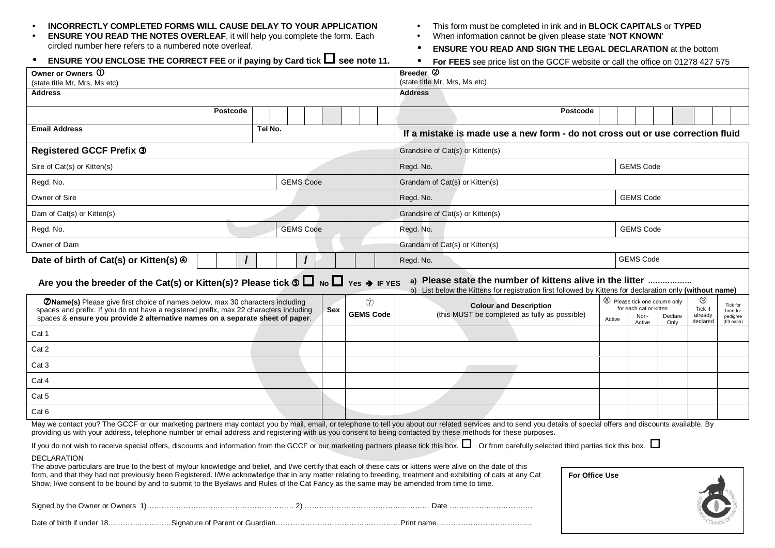| <b>ENSURE YOU ENCLOSE THE CORRECT FEE</b> or if paying by Card tick $\Box$ see note 11.<br><b>For FEES</b> see price list on the GCCF website or call the office on 01278 427 575<br>$\bullet$                                                                                                                                                                                                                                                                                                                                                                                                                                                                                                                                  |         |  |            |                         |                                |                                                                                                                                                                                                                                                                                              |  |  |
|---------------------------------------------------------------------------------------------------------------------------------------------------------------------------------------------------------------------------------------------------------------------------------------------------------------------------------------------------------------------------------------------------------------------------------------------------------------------------------------------------------------------------------------------------------------------------------------------------------------------------------------------------------------------------------------------------------------------------------|---------|--|------------|-------------------------|--------------------------------|----------------------------------------------------------------------------------------------------------------------------------------------------------------------------------------------------------------------------------------------------------------------------------------------|--|--|
| Owner or Owners ①                                                                                                                                                                                                                                                                                                                                                                                                                                                                                                                                                                                                                                                                                                               |         |  |            |                         |                                | Breeder <sup>(2)</sup><br>(state title Mr, Mrs, Ms etc)                                                                                                                                                                                                                                      |  |  |
| (state title Mr, Mrs, Ms etc)<br>Address                                                                                                                                                                                                                                                                                                                                                                                                                                                                                                                                                                                                                                                                                        |         |  |            |                         |                                | <b>Address</b>                                                                                                                                                                                                                                                                               |  |  |
|                                                                                                                                                                                                                                                                                                                                                                                                                                                                                                                                                                                                                                                                                                                                 |         |  |            |                         |                                |                                                                                                                                                                                                                                                                                              |  |  |
| <b>Postcode</b>                                                                                                                                                                                                                                                                                                                                                                                                                                                                                                                                                                                                                                                                                                                 |         |  |            |                         |                                | Postcode                                                                                                                                                                                                                                                                                     |  |  |
| <b>Email Address</b>                                                                                                                                                                                                                                                                                                                                                                                                                                                                                                                                                                                                                                                                                                            | Tel No. |  |            |                         |                                | If a mistake is made use a new form - do not cross out or use correction fluid                                                                                                                                                                                                               |  |  |
| <b>Registered GCCF Prefix 3</b>                                                                                                                                                                                                                                                                                                                                                                                                                                                                                                                                                                                                                                                                                                 |         |  |            |                         |                                | Grandsire of Cat(s) or Kitten(s)                                                                                                                                                                                                                                                             |  |  |
| Sire of Cat(s) or Kitten(s)                                                                                                                                                                                                                                                                                                                                                                                                                                                                                                                                                                                                                                                                                                     |         |  |            |                         | <b>GEMS Code</b><br>Regd. No.  |                                                                                                                                                                                                                                                                                              |  |  |
| <b>GEMS Code</b><br>Regd. No.                                                                                                                                                                                                                                                                                                                                                                                                                                                                                                                                                                                                                                                                                                   |         |  |            |                         | Grandam of Cat(s) or Kitten(s) |                                                                                                                                                                                                                                                                                              |  |  |
| Owner of Sire                                                                                                                                                                                                                                                                                                                                                                                                                                                                                                                                                                                                                                                                                                                   |         |  |            |                         | Regd. No.<br><b>GEMS Code</b>  |                                                                                                                                                                                                                                                                                              |  |  |
| Dam of Cat(s) or Kitten(s)                                                                                                                                                                                                                                                                                                                                                                                                                                                                                                                                                                                                                                                                                                      |         |  |            |                         |                                | Grandsire of Cat(s) or Kitten(s)                                                                                                                                                                                                                                                             |  |  |
| <b>GEMS Code</b><br>Regd. No.                                                                                                                                                                                                                                                                                                                                                                                                                                                                                                                                                                                                                                                                                                   |         |  |            |                         | <b>GEMS Code</b><br>Regd. No.  |                                                                                                                                                                                                                                                                                              |  |  |
| Owner of Dam                                                                                                                                                                                                                                                                                                                                                                                                                                                                                                                                                                                                                                                                                                                    |         |  |            |                         | Grandam of Cat(s) or Kitten(s) |                                                                                                                                                                                                                                                                                              |  |  |
| Date of birth of Cat(s) or Kitten(s) $\Phi$                                                                                                                                                                                                                                                                                                                                                                                                                                                                                                                                                                                                                                                                                     |         |  |            |                         |                                | <b>GEMS Code</b><br>Regd. No.                                                                                                                                                                                                                                                                |  |  |
| Are you the breeder of the Cat(s) or Kitten(s)? Please tick $\circ \Box$ No $\Box$ Yes $\rightarrow$ IF YES<br>a) Please state the number of kittens alive in the litter<br>b) List below the Kittens for registration first followed by Kittens for declaration only (without name)                                                                                                                                                                                                                                                                                                                                                                                                                                            |         |  |            |                         |                                |                                                                                                                                                                                                                                                                                              |  |  |
| <b>ØName(s)</b> Please give first choice of names below, max 30 characters including<br>spaces and prefix. If you do not have a registered prefix, max 22 characters including<br>spaces & ensure you provide 2 alternative names on a separate sheet of paper.                                                                                                                                                                                                                                                                                                                                                                                                                                                                 |         |  | <b>Sex</b> | (7)<br><b>GEMS Code</b> |                                | 8 Please tick one column only<br>$\circledcirc$<br><b>Colour and Description</b><br>Tick for<br>for each cat or kitten<br>Tick if<br>breeder<br>(this MUST be completed as fully as possible)<br>already<br>Non-<br>Declare<br>pedigree<br>Active<br>declared<br>Only<br>(£3 each)<br>Active |  |  |
| Cat 1                                                                                                                                                                                                                                                                                                                                                                                                                                                                                                                                                                                                                                                                                                                           |         |  |            |                         |                                |                                                                                                                                                                                                                                                                                              |  |  |
| Cat 2                                                                                                                                                                                                                                                                                                                                                                                                                                                                                                                                                                                                                                                                                                                           |         |  |            |                         |                                |                                                                                                                                                                                                                                                                                              |  |  |
| Cat 3                                                                                                                                                                                                                                                                                                                                                                                                                                                                                                                                                                                                                                                                                                                           |         |  |            |                         |                                |                                                                                                                                                                                                                                                                                              |  |  |
| Cat 4                                                                                                                                                                                                                                                                                                                                                                                                                                                                                                                                                                                                                                                                                                                           |         |  |            |                         |                                |                                                                                                                                                                                                                                                                                              |  |  |
| Cat 5                                                                                                                                                                                                                                                                                                                                                                                                                                                                                                                                                                                                                                                                                                                           |         |  |            |                         |                                |                                                                                                                                                                                                                                                                                              |  |  |
| Cat 6                                                                                                                                                                                                                                                                                                                                                                                                                                                                                                                                                                                                                                                                                                                           |         |  |            |                         |                                |                                                                                                                                                                                                                                                                                              |  |  |
| May we contact you? The GCCF or our marketing partners may contact you by mail, email, or telephone to tell you about our related services and to send you details of special offers and discounts available. By<br>providing us with your address, telephone number or email address and registering with us you consent to being contacted by these methods for these purposes.                                                                                                                                                                                                                                                                                                                                               |         |  |            |                         |                                |                                                                                                                                                                                                                                                                                              |  |  |
| If you do not wish to receive special offers, discounts and information from the GCCF or our marketing partners please tick this box. $\square$ Or from carefully selected third parties tick this box. $\square$<br>DECLARATION<br>The above particulars are true to the best of my/our knowledge and belief, and I/we certify that each of these cats or kittens were alive on the date of this<br>form, and that they had not previously been Registered. I/We acknowledge that in any matter relating to breeding, treatment and exhibiting of cats at any Cat<br>For Office Use<br>Show, I/we consent to be bound by and to submit to the Byelaws and Rules of the Cat Fancy as the same may be amended from time to time. |         |  |            |                         |                                |                                                                                                                                                                                                                                                                                              |  |  |
|                                                                                                                                                                                                                                                                                                                                                                                                                                                                                                                                                                                                                                                                                                                                 |         |  |            |                         |                                |                                                                                                                                                                                                                                                                                              |  |  |
|                                                                                                                                                                                                                                                                                                                                                                                                                                                                                                                                                                                                                                                                                                                                 |         |  |            |                         |                                |                                                                                                                                                                                                                                                                                              |  |  |

## •**INCORRECTLY COMPLETED FORMS WILL CAUSE DELAY TO YOUR APPLICATION**

 **ENSURE YOU READ THE NOTES OVERLEAF**, it will help you complete the form. Each circled number here refers to a numbered note overleaf.•

- This form must be completed in ink and in **BLOCK CAPITALS** or **TYPED**
- •When information cannot be given please state '**NOT KNOWN**'
- •**ENSURE YOU READ AND SIGN THE LEGAL DECLARATION** at the bottom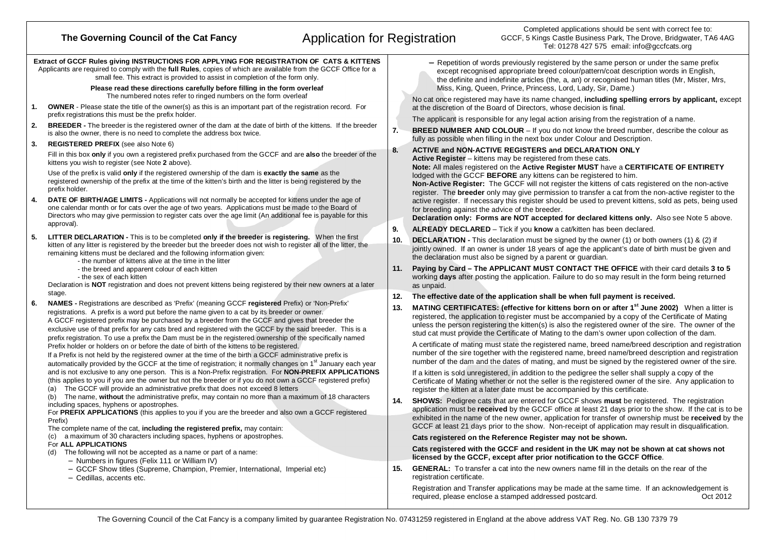## Completed applications should be sent with correct fee to:<br>Application for Registration end in the Governing Council of the Cat Fancy<br>Tel: 01278 427 575 email: info@gccfcats.org **Extract of GCCF Rules giving INSTRUCTIONS FOR APPLYING FOR REGISTRATION OF CATS & KITTENS** Applicants are required to comply with the **full Rules**, copies of which are available from the GCCF Office for a small fee. This extract is provided to assist in completion of the form only. **Please read these directions carefully before filling in the form overleaf** The numbered notes refer to ringed numbers on the form overleaf **1. OWNER** - Please state the title of the owner(s) as this is an important part of the registration record. For prefix registrations this must be the prefix holder.**2. BREEDER -** The breeder is the registered owner of the dam at the date of birth of the kittens. If the breeder is also the owner, there is no need to complete the address box twice.**3. REGISTERED PREFIX** (see also Note 6)Fill in this box **only** if you own a registered prefix purchased from the GCCF and are **also** the breeder of the kittens you wish to register (see Note **2** above).Use of the prefix is valid **only** if the registered ownership of the dam is **exactly the same** as the registered ownership of the prefix at the time of the kitten's birth and the litter is being registered by the prefix holder.**4. DATE OF BIRTH/AGE LIMITS -** Applications will not normally be accepted for kittens under the age of one calendar month or for cats over the age of two years. Applications must be made to the Board of Directors who may give permission to register cats over the age limit (An additional fee is payable for this approval).**5. LITTER DECLARATION -** This is to be completed **only if the breeder is registering.** When the first kitten of any litter is registered by the breeder but the breeder does not wish to register all of the litter, the remaining kittens must be declared and the following information given:- the number of kittens alive at the time in the litter- the breed and apparent colour of each kitten- the sex of each kitten Declaration is **NOT** registration and does not prevent kittens being registered by their new owners at a later stage. **6. NAMES -** Registrations are described as 'Prefix' (meaning GCCF **registered** Prefix) or 'Non-Prefix' registrations. A prefix is a word put before the name given to a cat by its breeder or owner. A GCCF registered prefix may be purchased by a breeder from the GCCF and gives that breeder the exclusive use of that prefix for any cats bred and registered with the GCCF by the said breeder. This is a prefix registration. To use a prefix the Dam must be in the registered ownership of the specifically namedPrefix holder or holders on or before the date of birth of the kittens to be registered. If a Prefix is not held by the registered owner at the time of the birth a GCCF administrative prefix is automatically provided by the GCCF at the time of registration; it normally changes on 1<sup>st</sup> January each year and is not exclusive to any one person. This is a Non-Prefix registration. For **NON-PREFIX APPLICATIONS**(this applies to you if you are the owner but not the breeder or if you do not own a GCCF registered prefix)(a) The GCCF will provide an administrative prefix that does not exceed 8 letters (b) The name, **without** the administrative prefix, may contain no more than a maximum of 18 characters including spaces, hyphens or apostrophes. For **PREFIX APPLICATIONS** (this applies to you if you are the breeder and also own a GCCF registeredPrefix) The complete name of the cat, **including the registered prefix,** may contain: (c) a maximum of <sup>30</sup> characters including spaces, hyphens or apostrophes. For **ALL APPLICATIONS** (d) The following will not be accepted as a name or part of a name: − Numbers in figures (Felix 111 or William IV) − GCCF Show titles (Supreme, Champion, Premier, International, Imperial etc) − Cedillas, accents etc. Cedillas, accents etc. <sup>−</sup> Repetition of words previously registered by the same person or under the same prefix except recognised appropriate breed colour/pattern/coat description words in English, the definite and indefinite articles (the, a, an) or recognised human titles (Mr, Mister, Mrs, Miss, King, Queen, Prince, Princess, Lord, Lady, Sir, Dame.) No cat once registered may have its name changed, **including spelling errors by applicant,** except at the discretion of the Board of Directors, whose decision is final. The applicant is responsible for any legal action arising from the registration of a name. **7. BREED NUMBER AND COLOUR** – If you do not know the breed number, describe the colour as fully as possible when filling in the next box under Colour and Description. **8. ACTIVE and NON-ACTIVE REGISTERS and DECLARATION ONLY Active Register** – kittens may be registered from these cats. **Note:** All males registered on the **Active Register MUST** have a **CERTIFICATE OF ENTIRETY** lodged with the GCCF **BEFORE** any kittens can be registered to him. **Non-Active Register:** The GCCF will not register the kittens of cats registered on the non-active register. The **breeder** only may give permission to transfer a cat from the non-active register to the active register. If necessary this register should be used to prevent kittens, sold as pets, being used for breeding against the advice of the breeder. **Declaration only: Forms are NOT accepted for declared kittens only.** Also see Note 5 above. **9. ALREADY DECLARED** – Tick if you **know** a cat/kitten has been declared. **10. DECLARATION -** This declaration must be signed by the owner (1) or both owners (1) & (2) if jointly owned. If an owner is under 18 years of age the applicant's date of birth must be given and the declaration must also be signed by a parent or guardian. **11. Paying by Card – The APPLICANT MUST CONTACT THE OFFICE** with their card details **3 to 5** working **days** after posting the application. Failure to do so may result in the form being returned as unpaid. **12. The effective date of the application shall be when full payment is received. 13. MATING CERTIFICATES: (effective for kittens born on or after 1st June 2002)** When a litter is registered, the application to register must be accompanied by a copy of the Certificate of Mating unless the person registering the kitten(s) is also the registered owner of the sire. The owner of the stud cat must provide the Certificate of Mating to the dam's owner upon collection of the dam. A certificate of mating must state the registered name, breed name/breed description and registration number of the sire together with the registered name, breed name/breed description and registration number of the dam and the dates of mating, and must be signed by the registered owner of the sire. If a kitten is sold unregistered, in addition to the pedigree the seller shall supply a copy of the Certificate of Mating whether or not the seller is the registered owner of the sire. Any application to register the kitten at a later date must be accompanied by this certificate. **14. SHOWS:** Pedigree cats that are entered for GCCF shows **must** be registered. The registration application must be **received** by the GCCF office at least 21 days prior to the show. If the cat is to be exhibited in the name of the new owner, application for transfer of ownership must be **received** by the GCCF at least 21 days prior to the show. Non-receipt of application may result in disqualification. **Cats registered on the Reference Register may not be shown. Cats registered with the GCCF and resident in the UK may not be shown at cat shows not licensed by the GCCF, except after prior notification to the GCCF Office**. **15. GENERAL:** To transfer a cat into the new owners name fill in the details on the rear of the registration certificate. Registration and Transfer applications may be made at the same time. If an acknowledgement is

required, please enclose a stamped addressed postcard.

Oct 2012